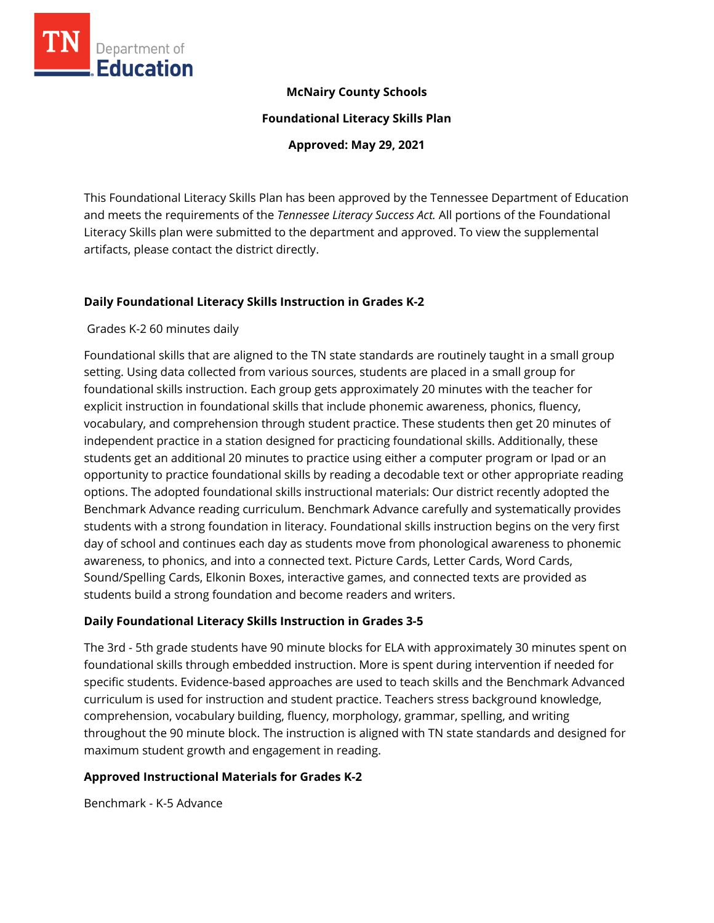

## **McNairy County Schools**

**Foundational Literacy Skills Plan**

**Approved: May 29, 2021**

This Foundational Literacy Skills Plan has been approved by the Tennessee Department of Education and meets the requirements of the *Tennessee Literacy Success Act.* All portions of the Foundational Literacy Skills plan were submitted to the department and approved. To view the supplemental artifacts, please contact the district directly.

## **Daily Foundational Literacy Skills Instruction in Grades K-2**

## Grades K-2 60 minutes daily

Foundational skills that are aligned to the TN state standards are routinely taught in a small group setting. Using data collected from various sources, students are placed in a small group for foundational skills instruction. Each group gets approximately 20 minutes with the teacher for explicit instruction in foundational skills that include phonemic awareness, phonics, fluency, vocabulary, and comprehension through student practice. These students then get 20 minutes of independent practice in a station designed for practicing foundational skills. Additionally, these students get an additional 20 minutes to practice using either a computer program or Ipad or an opportunity to practice foundational skills by reading a decodable text or other appropriate reading options. The adopted foundational skills instructional materials: Our district recently adopted the Benchmark Advance reading curriculum. Benchmark Advance carefully and systematically provides students with a strong foundation in literacy. Foundational skills instruction begins on the very first day of school and continues each day as students move from phonological awareness to phonemic awareness, to phonics, and into a connected text. Picture Cards, Letter Cards, Word Cards, Sound/Spelling Cards, Elkonin Boxes, interactive games, and connected texts are provided as students build a strong foundation and become readers and writers.

## **Daily Foundational Literacy Skills Instruction in Grades 3-5**

The 3rd - 5th grade students have 90 minute blocks for ELA with approximately 30 minutes spent on foundational skills through embedded instruction. More is spent during intervention if needed for specific students. Evidence-based approaches are used to teach skills and the Benchmark Advanced curriculum is used for instruction and student practice. Teachers stress background knowledge, comprehension, vocabulary building, fluency, morphology, grammar, spelling, and writing throughout the 90 minute block. The instruction is aligned with TN state standards and designed for maximum student growth and engagement in reading.

## **Approved Instructional Materials for Grades K-2**

Benchmark - K-5 Advance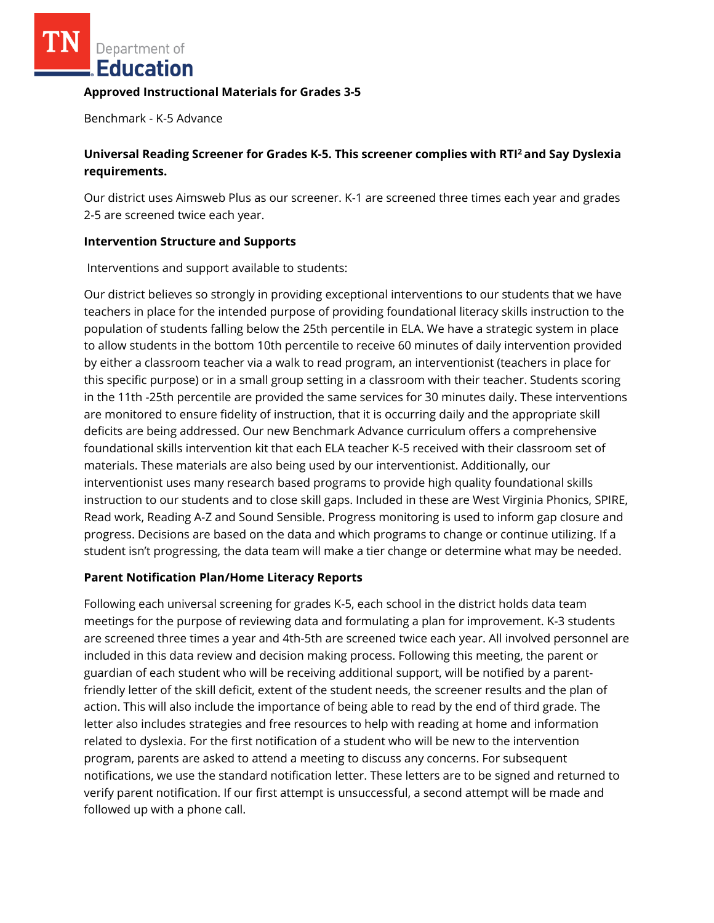Department of Education

#### **Approved Instructional Materials for Grades 3-5**

Benchmark - K-5 Advance

# **Universal Reading Screener for Grades K-5. This screener complies with RTI<sup>2</sup>and Say Dyslexia requirements.**

Our district uses Aimsweb Plus as our screener. K-1 are screened three times each year and grades 2-5 are screened twice each year.

### **Intervention Structure and Supports**

Interventions and support available to students:

Our district believes so strongly in providing exceptional interventions to our students that we have teachers in place for the intended purpose of providing foundational literacy skills instruction to the population of students falling below the 25th percentile in ELA. We have a strategic system in place to allow students in the bottom 10th percentile to receive 60 minutes of daily intervention provided by either a classroom teacher via a walk to read program, an interventionist (teachers in place for this specific purpose) or in a small group setting in a classroom with their teacher. Students scoring in the 11th -25th percentile are provided the same services for 30 minutes daily. These interventions are monitored to ensure fidelity of instruction, that it is occurring daily and the appropriate skill deficits are being addressed. Our new Benchmark Advance curriculum offers a comprehensive foundational skills intervention kit that each ELA teacher K-5 received with their classroom set of materials. These materials are also being used by our interventionist. Additionally, our interventionist uses many research based programs to provide high quality foundational skills instruction to our students and to close skill gaps. Included in these are West Virginia Phonics, SPIRE, Read work, Reading A-Z and Sound Sensible. Progress monitoring is used to inform gap closure and progress. Decisions are based on the data and which programs to change or continue utilizing. If a student isn't progressing, the data team will make a tier change or determine what may be needed.

## **Parent Notification Plan/Home Literacy Reports**

Following each universal screening for grades K-5, each school in the district holds data team meetings for the purpose of reviewing data and formulating a plan for improvement. K-3 students are screened three times a year and 4th-5th are screened twice each year. All involved personnel are included in this data review and decision making process. Following this meeting, the parent or guardian of each student who will be receiving additional support, will be notified by a parentfriendly letter of the skill deficit, extent of the student needs, the screener results and the plan of action. This will also include the importance of being able to read by the end of third grade. The letter also includes strategies and free resources to help with reading at home and information related to dyslexia. For the first notification of a student who will be new to the intervention program, parents are asked to attend a meeting to discuss any concerns. For subsequent notifications, we use the standard notification letter. These letters are to be signed and returned to verify parent notification. If our first attempt is unsuccessful, a second attempt will be made and followed up with a phone call.